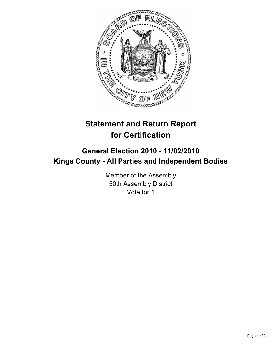

## **Statement and Return Report for Certification**

## **General Election 2010 - 11/02/2010 Kings County - All Parties and Independent Bodies**

Member of the Assembly 50th Assembly District Vote for 1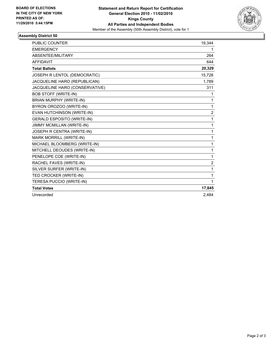

## **Assembly District 50**

| PUBLIC COUNTER                    | 19,344         |
|-----------------------------------|----------------|
| <b>EMERGENCY</b>                  | 1              |
| ABSENTEE/MILITARY                 | 264            |
| <b>AFFIDAVIT</b>                  | 644            |
| <b>Total Ballots</b>              | 20,329         |
| JOSEPH R LENTOL (DEMOCRATIC)      | 15,728         |
| JACQUELINE HARO (REPUBLICAN)      | 1,789          |
| JACQUELINE HARO (CONSERVATIVE)    | 311            |
| <b>BOB STOFF (WRITE-IN)</b>       | 1              |
| BRIAN MURPHY (WRITE-IN)           | 1              |
| BYRON OROZOO (WRITE-IN)           | 1              |
| EVAN HUTCHINSON (WRITE-IN)        | $\overline{2}$ |
| <b>GERALD ESPOSITO (WRITE-IN)</b> | 1              |
| <b>JIMMY MCMILLAN (WRITE-IN)</b>  | 1              |
| JOSEPH R CENTRA (WRITE-IN)        | 1              |
| MARK MORRILL (WRITE-IN)           | 1              |
| MICHAEL BLOOMBERG (WRITE-IN)      | 1              |
| MITCHELL DEOUDES (WRITE-IN)       | 1              |
| PENELOPE COE (WRITE-IN)           | $\mathbf{1}$   |
| RACHEL FAVES (WRITE-IN)           | 2              |
| SILVER SURFER (WRITE-IN)          | 1              |
| TED CROCKER (WRITE-IN)            | 1              |
| TERESA PUCCIO (WRITE-IN)          | 1              |
| <b>Total Votes</b>                | 17,845         |
| Unrecorded                        | 2.484          |